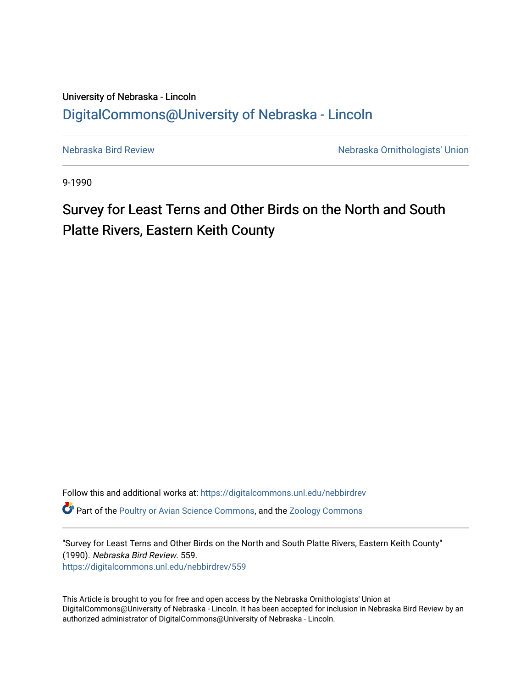## University of Nebraska - Lincoln [DigitalCommons@University of Nebraska - Lincoln](https://digitalcommons.unl.edu/)

[Nebraska Bird Review](https://digitalcommons.unl.edu/nebbirdrev) [Nebraska Ornithologists' Union](https://digitalcommons.unl.edu/nebornithologists) 

9-1990

## Survey for Least Terns and Other Birds on the North and South Platte Rivers, Eastern Keith County

Follow this and additional works at: [https://digitalcommons.unl.edu/nebbirdrev](https://digitalcommons.unl.edu/nebbirdrev?utm_source=digitalcommons.unl.edu%2Fnebbirdrev%2F559&utm_medium=PDF&utm_campaign=PDFCoverPages)

**C** Part of the [Poultry or Avian Science Commons](http://network.bepress.com/hgg/discipline/80?utm_source=digitalcommons.unl.edu%2Fnebbirdrev%2F559&utm_medium=PDF&utm_campaign=PDFCoverPages), and the Zoology Commons

"Survey for Least Terns and Other Birds on the North and South Platte Rivers, Eastern Keith County" (1990). Nebraska Bird Review. 559. [https://digitalcommons.unl.edu/nebbirdrev/559](https://digitalcommons.unl.edu/nebbirdrev/559?utm_source=digitalcommons.unl.edu%2Fnebbirdrev%2F559&utm_medium=PDF&utm_campaign=PDFCoverPages)

This Article is brought to you for free and open access by the Nebraska Ornithologists' Union at DigitalCommons@University of Nebraska - Lincoln. It has been accepted for inclusion in Nebraska Bird Review by an authorized administrator of DigitalCommons@University of Nebraska - Lincoln.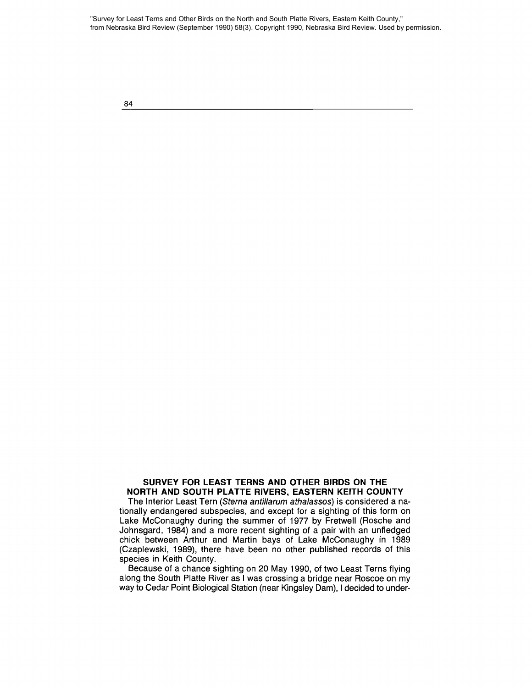"Survey for Least Terns and Other Birds on the North and South Platte Rivers, Eastern Keith County," from Nebraska Bird Review (September 1990) 58(3). Copyright 1990, Nebraska Bird Review. Used by permission.

84

## **SURVEY FOR LEAST TERNS ANO OTHER BIROS ON THE NORTH ANO SOUTH PLATTE RIVERS, EASTERN KEITH COUNTY**

The Interior Least Tern (Sterna antillarum athalassos) is considered a nationally endangered subspecies, and except for a sighting of this form on Lake McConaughy during the summer of 1977 by Fretwell (Rosche and Johnsgard, 1984) and a more recent sighting of a pair with an unfledged chick between Arthur and Martin bays of Lake McConaughy in 1989 (Czaplewski, 1989), there have been no other published records of this species in Keith County.

Because of a chance sighting on 20 May 1990, of two Least Terns flying along the South Platte River as I was crossing a bridge near Roscoe on my way to Cedar Point Biological Station (near Kingsley Dam), I decided to under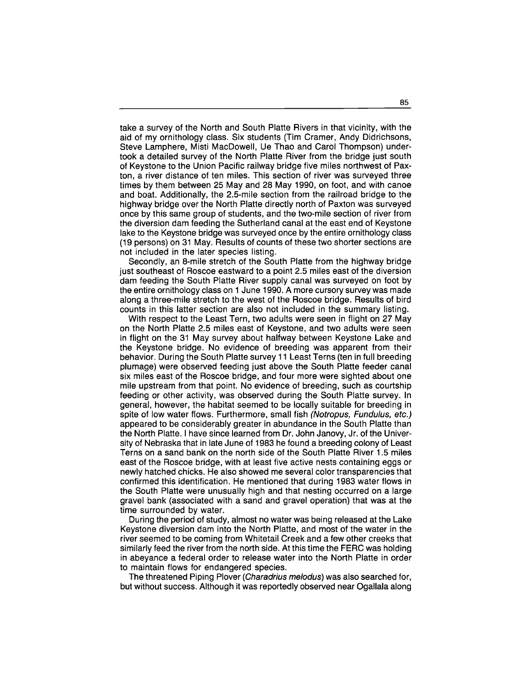take a survey of the North and South Platte Rivers in that vicinity, with the aid of my ornithology class. Six students (Tim Cramer, Andy Didrichsons, Steve Lamphere, Misti MacDowell, Ue Thao and Carol Thompson) undertook a detailed survey of the North Platte River from the bridge just south of Keystone to the Union Pacific railway bridge five miles northwest of Paxton, a river distance of ten miles. This section of river was surveyed three times by them between 25 May and 28 May 1990, on foot, and with canoe and boat. Additionally, the 2.5-mile section from the railroad bridge to the highway bridge over the North Platte directly north of Paxton was surveyed once by this same group of students, and the two-mile section of river from the diversion dam feeding the Sutherland canal at the east end of Keystone lake to the Keystone bridge was surveyed once by the entire ornithology class (19 persons) on 31 May. Results of counts of these two shorter sections are not included in the later species Iisting.

Secondly, an 8-mile stretch of the South Platte from the highway bridge just southeast of Roscoe eastward to a point 2.5 miles east of the diversion dam feeding the South Platte River supply canal was surveyed on foot by the entire ornithology class on 1 June 1990. A more cursory survey was made along a three-mile stretch to the west of the Roscoe bridge. Results of bird counts in this latter section are also not included in the summary Iisting.

With respect to the Least Tern, two adults were seen in flight on 27 May on the North Platte 2.5 miles east of Keystone, and two adults were seen in flight on the 31 May survey about halfway between Keystone Lake and the Keystone bridge. No evidence of breeding was apparent from their behavior. During the South Platte survey 11 Least Terns (ten in full breeding plumage) were observed feeding just above the South Platte feeder canal six miles east of the Roscoe bridge, and four more were sighted about one mile upstream from that point. No evidence of breeding, such as courtship feeding or other activity, was observed during the South Platte survey. In general, however, the habitat seemed to be locally suitable tor breeding in spite of low water flows. Furthermore, small fish (Notropus, Fundulus, etc.) appeared to be considerably greater in abundance in the South Platte than the North Platte. I have since learned from Dr. John Janovy, Jr. of the University of Nebraska that in late June of 1983 he found a breeding colony of Least Terns on a sand bank on the north side of the South Platte River 1.5 miles east of the Roscoe bridge, with at least five active nests containing eggs or newly hatched chicks. He also showed me several color transparencies that confirmed this identification. He mentioned that during 1983 water flows in the South Platte were unusually high and that nesting occurred on a large gravel bank (associated with a sand and gravel operation) that was at the time surrounded by water.

During the period of study, almost no water was being released at the Lake Keystone diversion dam into the North Platte, and most of the water in the river seemed to be coming from Whitetail Creek and a few other creeks that similarly feed the river from the north side. At this time the FERC was holding in abeyance a federal order to release water into the North Platte in order to maintain flows for endangered species.

The threatened Piping Plover (Charadrius melodus) was also searched for, but without success. Although it was reportedly observed near Ogallala along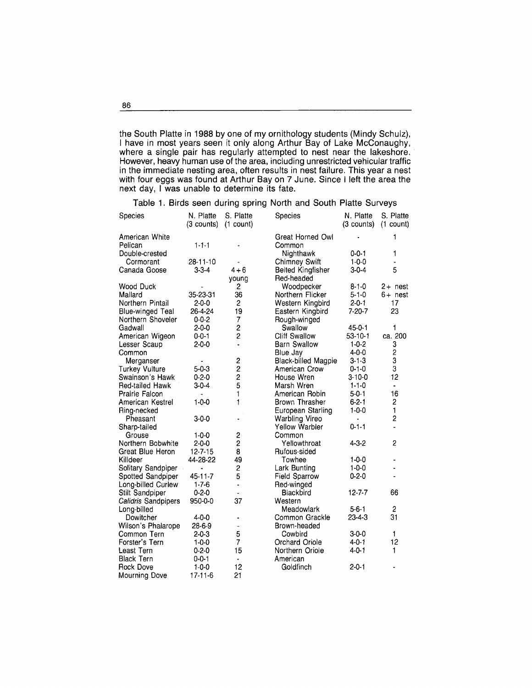the South Platte in 1988 by one of my ornithology students (Mindy Sehulz), I have in most years seen it only along Arthur Bay of Lake MeConaughy, where a single pair has regularly attempted to nest near the lakeshore. However, heavy human use of the area, including unrestricted vehicular traffic in the immediate nesting area, often results in nest failure. This year a nest with four eggs was found at Arthur Bay on 7 June. Sinee I left the area the next day, I was unable to determine its fate.

Table 1. Birds seen during spring North and South Platte Surveys

| Species                 | N. Platte<br>(3 counts) | S. Platte<br>$(1$ count) | Species                    | N. Platte<br>(3 counts) | S. Platte<br>$(1$ count) |
|-------------------------|-------------------------|--------------------------|----------------------------|-------------------------|--------------------------|
| American White          |                         |                          | Great Horned Owl           |                         | 1                        |
| Pelican                 | $1 - 1 - 1$             |                          | Common                     |                         |                          |
| Double-crested          |                         |                          | Nighthawk                  | $0 - 0 - 1$             | 1                        |
| Cormorant               | 28-11-10                |                          | <b>Chimney Swift</b>       | $1 - 0 - 0$             |                          |
| Canada Goose            | $3 - 3 - 4$             | $4 + 6$                  | <b>Belted Kingfisher</b>   | $3 - 0 - 4$             | 5                        |
|                         |                         | voung                    | Red-headed                 |                         |                          |
| Wood Duck               |                         | 2                        | Woodpecker                 | $8 - 1 - 0$             | $2 +$ nest               |
| Mallard                 | 35-23-31                | 36                       | Northern Flicker           | $5 - 1 - 0$             | $6+$ nest                |
| Northern Pintail        | $2 - 0 - 0$             | $\overline{c}$           | Western Kingbird           | $2 - 0 - 1$             | 17                       |
| <b>Blue-winged Teal</b> | 26 4 24                 | 19                       | Eastern Kingbird           | 7 20-7                  | 23                       |
| Northern Shoveler       | $0 - 0 - 2$             | 7                        | Rough-winged               |                         |                          |
| Gadwall                 | $2 - 0 - 0$             | $\overline{c}$           | Swallow                    | $45 - 0 - 1$            | 1                        |
| American Wigeon         | $0 - 0 - 1$             | $\overline{c}$           | <b>Cliff Swallow</b>       | $53 - 10 - 1$           | ca. 200                  |
| Lesser Scaup            | $2 - 0 - 0$             | $\overline{a}$           | <b>Barn Swallow</b>        | $1 - 0 - 2$             | 3                        |
| Common                  |                         |                          | Blue Jay                   | $4 - 0 - 0$             |                          |
| Merganser               |                         | $\overline{\mathbf{c}}$  | <b>Black-billed Magpie</b> | $3 - 1 - 3$             | $\frac{2}{3}$            |
| <b>Turkey Vulture</b>   | $5 - 0 - 3$             | $\overline{2}$           | American Crow              | $0 - 1 - 0$             | 3                        |
| Swainson's Hawk         | $0 - 2 - 0$             | $\overline{2}$           | House Wren                 | $3 - 10 - 0$            | 12                       |
| <b>Red-tailed Hawk</b>  | $3-0-4$                 | 5                        | Marsh Wren                 | $1 - 1 - 0$             | ä,                       |
| <b>Prairie Falcon</b>   |                         | 1                        | American Robin             | $5 - 0 - 1$             | 16                       |
| American Kestrel        | $1 - 0 - 0$             | 1                        | <b>Brown Thrasher</b>      | $6 - 2 - 1$             | $\overline{\mathbf{c}}$  |
| Ring-necked             |                         |                          | European Starling          | $1 - 0 - 0$             | $\mathbf{1}$             |
| Pheasant                | $3 - 0 - 0$             |                          | <b>Warbling Vireo</b>      |                         | $\overline{c}$           |
| Sharp-tailed            |                         |                          | <b>Yellow Warbler</b>      | $0 - 1 - 1$             |                          |
| Grouse                  | $1 - 0 - 0$             | 2                        | Common                     |                         |                          |
| Northern Bobwhite       | $2 - 0 - 0$             | 2                        | Yellowthroat               | $4 - 3 - 2$             | 2                        |
| Great Blue Heron        | $12 - 7 - 15$           | 8                        | Rufous-sided               |                         |                          |
| Killdeer                | 44-28-22                | 49                       | Towhee                     | $1 - 0 - 0$             | ٠                        |
| Solitary Sandpiper      | $\blacksquare$          | 2                        | Lark Bunting               | $1 - 0 - 0$             |                          |
| Spotted Sandpiper       | 45-11-7                 | 5                        | <b>Field Sparrow</b>       | $0 - 2 - 0$             |                          |
| Long-billed Curlew      | $1 - 7 - 6$             | $\overline{\phantom{a}}$ | Red-winged                 |                         |                          |
| Stilt Sandpiper         | $0 - 2 - 0$             |                          | <b>Blackbird</b>           | $12 - 7 - 7$            | 66                       |
| Calidris Sandpipers     | 950-0-0                 | 37                       | Western                    |                         |                          |
| Long-billed             |                         |                          | Meadowlark                 | $5 - 6 - 1$             | 2                        |
| Dowitcher               | $4 - 0 - 0$             |                          | Common Grackle             | $23 - 4 - 3$            | 31                       |
| Wilson's Phalarope      | 28-6-9                  |                          | Brown-headed               |                         |                          |
| Common Tern             | $2 - 0 - 3$             | 5                        | Cowbird                    | $3 - 0 - 0$             | 1                        |
| Forster's Tern          | $1 - 0 - 0$             | $\overline{7}$           | Orchard Oriole             | $4 - 0 - 1$             | 12                       |
| Least Tern              | $0 - 2 - 0$             | 15                       | Northern Oriole            | $4 - 0 - 1$             | 1                        |
| <b>Black Tern</b>       | $0 - 0 - 1$             | ä,                       | American                   |                         |                          |
| <b>Rock Dove</b>        | $1 - 0 - 0$             | 12                       | Goldfinch                  | $2 - 0 - 1$             |                          |
| <b>Mourning Dove</b>    | 17-11-6                 | 21                       |                            |                         |                          |